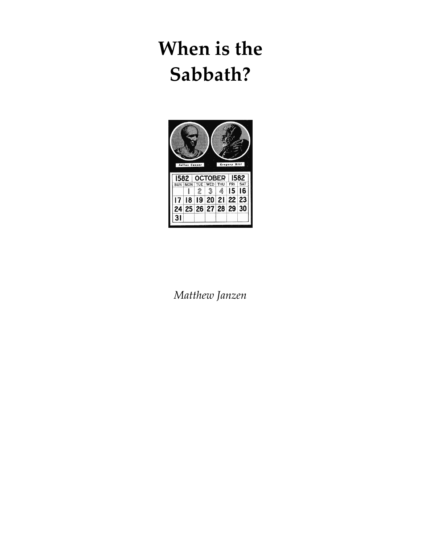

*Matthew Janzen*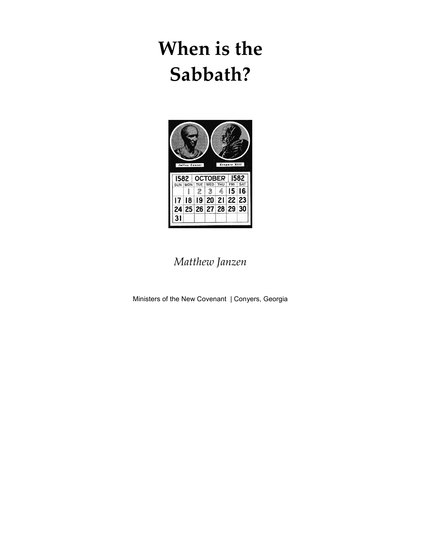

*Matthew Janzen* 

Ministers of the New Covenant | Conyers, Georgia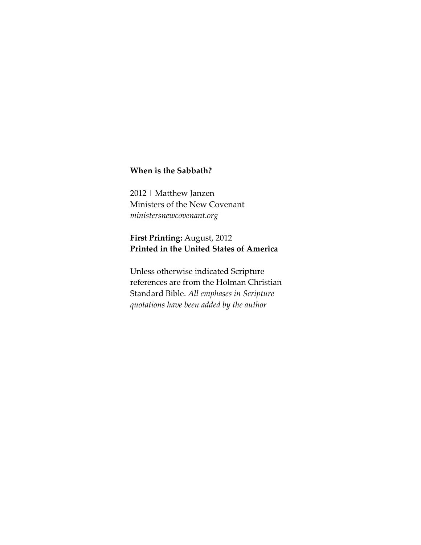2012 | Matthew Janzen Ministers of the New Covenant *ministersnewcovenant.org* 

### **First Printing:** August, 2012 **Printed in the United States of America**

Unless otherwise indicated Scripture references are from the Holman Christian Standard Bible. *All emphases in Scripture quotations have been added by the author*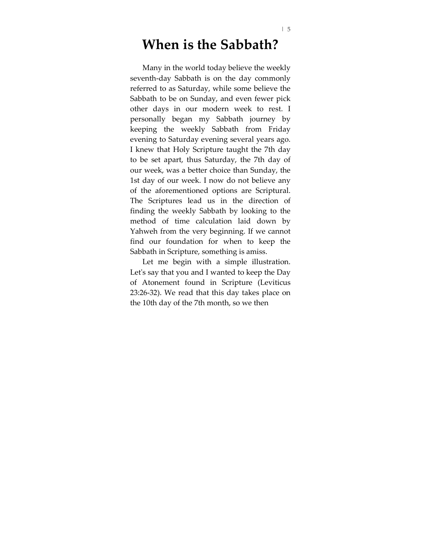Many in the world today believe the weekly seventh-day Sabbath is on the day commonly referred to as Saturday, while some believe the Sabbath to be on Sunday, and even fewer pick other days in our modern week to rest. I personally began my Sabbath journey by keeping the weekly Sabbath from Friday evening to Saturday evening several years ago. I knew that Holy Scripture taught the 7th day to be set apart, thus Saturday, the 7th day of our week, was a better choice than Sunday, the 1st day of our week. I now do not believe any of the aforementioned options are Scriptural. The Scriptures lead us in the direction of finding the weekly Sabbath by looking to the method of time calculation laid down by Yahweh from the very beginning. If we cannot find our foundation for when to keep the Sabbath in Scripture, something is amiss.

Let me begin with a simple illustration. Let's say that you and I wanted to keep the Day of Atonement found in Scripture (Leviticus 23:26-32). We read that this day takes place on the 10th day of the 7th month, so we then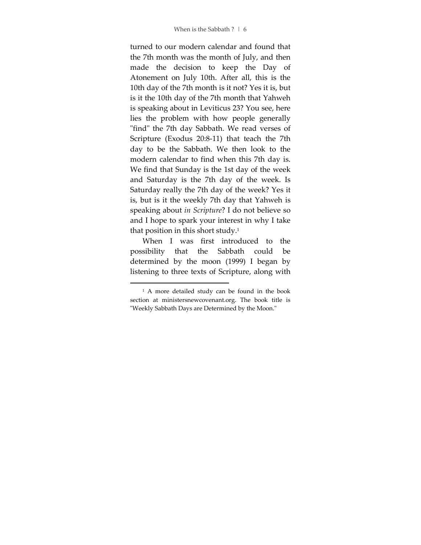turned to our modern calendar and found that the 7th month was the month of July, and then made the decision to keep the Day of Atonement on July 10th. After all, this is the 10th day of the 7th month is it not? Yes it is, but is it the 10th day of the 7th month that Yahweh is speaking about in Leviticus 23? You see, here lies the problem with how people generally "find" the 7th day Sabbath. We read verses of Scripture (Exodus 20:8-11) that teach the 7th day to be the Sabbath. We then look to the modern calendar to find when this 7th day is. We find that Sunday is the 1st day of the week and Saturday is the 7th day of the week. Is Saturday really the 7th day of the week? Yes it is, but is it the weekly 7th day that Yahweh is speaking about *in Scripture*? I do not believe so and I hope to spark your interest in why I take that position in this short study.<sup>1</sup>

When I was first introduced to the possibility that the Sabbath could be determined by the moon (1999) I began by listening to three texts of Scripture, along with

<sup>1</sup> A more detailed study can be found in the book section at ministersnewcovenant.org. The book title is "Weekly Sabbath Days are Determined by the Moon."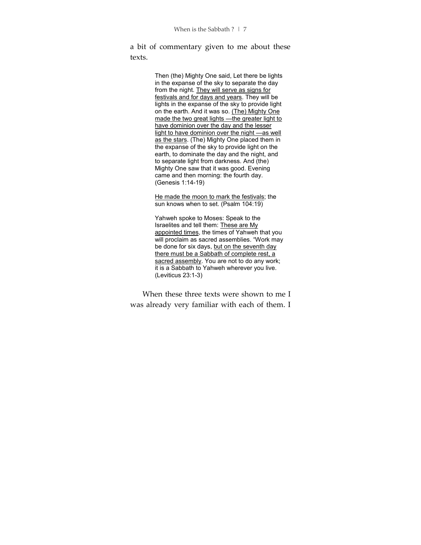a bit of commentary given to me about these texts.

> Then (the) Mighty One said, Let there be lights in the expanse of the sky to separate the day from the night. They will serve as signs for festivals and for days and years. They will be lights in the expanse of the sky to provide light on the earth. And it was so. (The) Mighty One made the two great lights —the greater light to have dominion over the day and the lesser light to have dominion over the night —as well as the stars. (The) Mighty One placed them in the expanse of the sky to provide light on the earth, to dominate the day and the night, and to separate light from darkness. And (the) Mighty One saw that it was good. Evening came and then morning: the fourth day. (Genesis 1:14-19)

He made the moon to mark the festivals; the sun knows when to set. (Psalm 104:19)

Yahweh spoke to Moses: Speak to the Israelites and tell them: These are My appointed times, the times of Yahweh that you will proclaim as sacred assemblies. "Work may be done for six days, but on the seventh day there must be a Sabbath of complete rest, a sacred assembly. You are not to do any work; it is a Sabbath to Yahweh wherever you live. (Leviticus 23:1-3)

When these three texts were shown to me I was already very familiar with each of them. I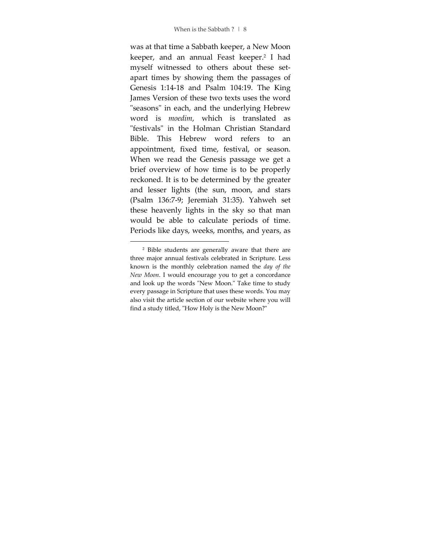was at that time a Sabbath keeper, a New Moon keeper, and an annual Feast keeper.<sup>2</sup> I had myself witnessed to others about these setapart times by showing them the passages of Genesis 1:14-18 and Psalm 104:19. The King James Version of these two texts uses the word "seasons" in each, and the underlying Hebrew word is *moedim*, which is translated as "festivals" in the Holman Christian Standard Bible. This Hebrew word refers to an appointment, fixed time, festival, or season. When we read the Genesis passage we get a brief overview of how time is to be properly reckoned. It is to be determined by the greater and lesser lights (the sun, moon, and stars (Psalm 136:7-9; Jeremiah 31:35). Yahweh set these heavenly lights in the sky so that man would be able to calculate periods of time. Periods like days, weeks, months, and years, as

<sup>2</sup> Bible students are generally aware that there are three major annual festivals celebrated in Scripture. Less known is the monthly celebration named the *day of the New Moon*. I would encourage you to get a concordance and look up the words "New Moon." Take time to study every passage in Scripture that uses these words. You may also visit the article section of our website where you will find a study titled, "How Holy is the New Moon?"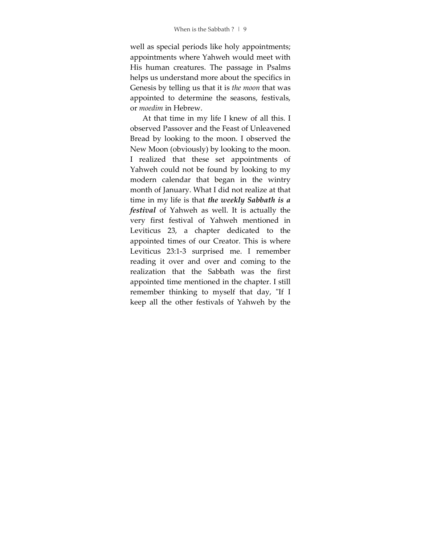well as special periods like holy appointments; appointments where Yahweh would meet with His human creatures. The passage in Psalms helps us understand more about the specifics in Genesis by telling us that it is *the moon* that was appointed to determine the seasons, festivals, or *moedim* in Hebrew.

At that time in my life I knew of all this. I observed Passover and the Feast of Unleavened Bread by looking to the moon. I observed the New Moon (obviously) by looking to the moon. I realized that these set appointments of Yahweh could not be found by looking to my modern calendar that began in the wintry month of January. What I did not realize at that time in my life is that *the weekly Sabbath is a festival* of Yahweh as well. It is actually the very first festival of Yahweh mentioned in Leviticus 23, a chapter dedicated to the appointed times of our Creator. This is where Leviticus 23:1-3 surprised me. I remember reading it over and over and coming to the realization that the Sabbath was the first appointed time mentioned in the chapter. I still remember thinking to myself that day, "If I keep all the other festivals of Yahweh by the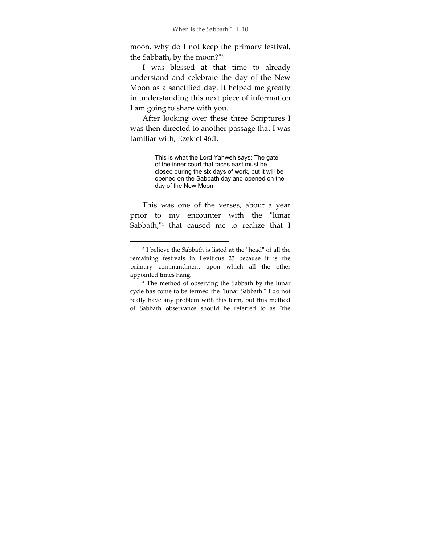moon, why do I not keep the primary festival, the Sabbath, by the moon?"<sup>3</sup>

I was blessed at that time to already understand and celebrate the day of the New Moon as a sanctified day. It helped me greatly in understanding this next piece of information I am going to share with you.

After looking over these three Scriptures I was then directed to another passage that I was familiar with, Ezekiel 46:1.

> This is what the Lord Yahweh says: The gate of the inner court that faces east must be closed during the six days of work, but it will be opened on the Sabbath day and opened on the day of the New Moon.

This was one of the verses, about a year prior to my encounter with the "lunar Sabbath,"<sup>4</sup> that caused me to realize that I

<sup>3</sup> I believe the Sabbath is listed at the "head" of all the remaining festivals in Leviticus 23 because it is the primary commandment upon which all the other appointed times hang.

<sup>4</sup> The method of observing the Sabbath by the lunar cycle has come to be termed the "lunar Sabbath." I do not really have any problem with this term, but this method of Sabbath observance should be referred to as "the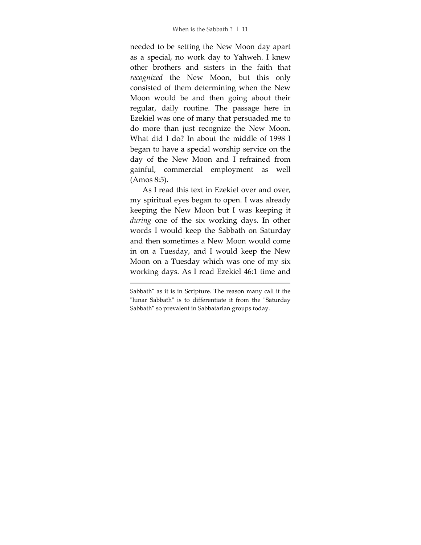needed to be setting the New Moon day apart as a special, no work day to Yahweh. I knew other brothers and sisters in the faith that *recognized* the New Moon, but this only consisted of them determining when the New Moon would be and then going about their regular, daily routine. The passage here in Ezekiel was one of many that persuaded me to do more than just recognize the New Moon. What did I do? In about the middle of 1998 I began to have a special worship service on the day of the New Moon and I refrained from gainful, commercial employment as well (Amos 8:5).

As I read this text in Ezekiel over and over, my spiritual eyes began to open. I was already keeping the New Moon but I was keeping it *during* one of the six working days. In other words I would keep the Sabbath on Saturday and then sometimes a New Moon would come in on a Tuesday, and I would keep the New Moon on a Tuesday which was one of my six working days. As I read Ezekiel 46:1 time and

<u>.</u>

Sabbath" as it is in Scripture. The reason many call it the "lunar Sabbath" is to differentiate it from the "Saturday Sabbath" so prevalent in Sabbatarian groups today.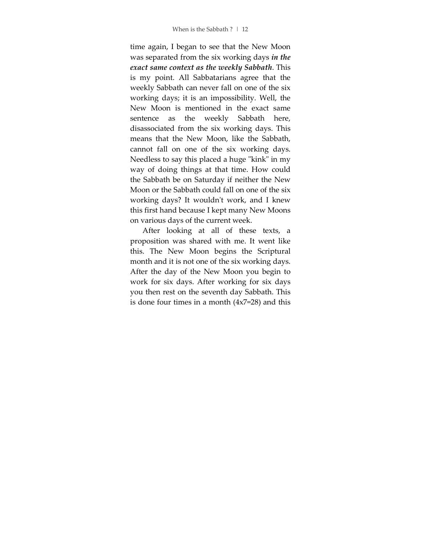time again, I began to see that the New Moon was separated from the six working days *in the exact same context as the weekly Sabbath*. This is my point. All Sabbatarians agree that the weekly Sabbath can never fall on one of the six working days; it is an impossibility. Well, the New Moon is mentioned in the exact same sentence as the weekly Sabbath here, disassociated from the six working days. This means that the New Moon, like the Sabbath, cannot fall on one of the six working days. Needless to say this placed a huge "kink" in my way of doing things at that time. How could the Sabbath be on Saturday if neither the New Moon or the Sabbath could fall on one of the six working days? It wouldn't work, and I knew this first hand because I kept many New Moons on various days of the current week.

After looking at all of these texts, a proposition was shared with me. It went like this. The New Moon begins the Scriptural month and it is not one of the six working days. After the day of the New Moon you begin to work for six days. After working for six days you then rest on the seventh day Sabbath. This is done four times in a month (4x7=28) and this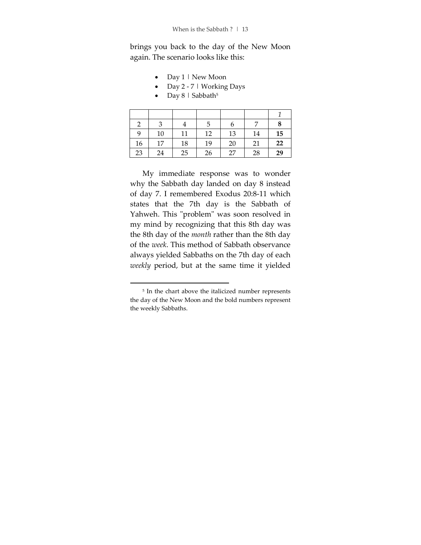brings you back to the day of the New Moon again. The scenario looks like this:

- Day 1 | New Moon
- Day 2 7 | Working Days
- Day  $8$  | Sabbath<sup>5</sup>

|             | З  |    |    | n  |    | 8  |
|-------------|----|----|----|----|----|----|
| $\mathbf Q$ | 10 | 11 | 12 | 13 | 14 | 15 |
| 16          | 17 | 18 | 19 | 20 | 21 | 22 |
| 23          | 24 | 25 | 26 | 27 | 28 | 29 |

My immediate response was to wonder why the Sabbath day landed on day 8 instead of day 7. I remembered Exodus 20:8-11 which states that the 7th day is the Sabbath of Yahweh. This "problem" was soon resolved in my mind by recognizing that this 8th day was the 8th day of the *month* rather than the 8th day of the *week*. This method of Sabbath observance always yielded Sabbaths on the 7th day of each *weekly* period, but at the same time it yielded

<sup>5</sup> In the chart above the italicized number represents the day of the New Moon and the bold numbers represent the weekly Sabbaths.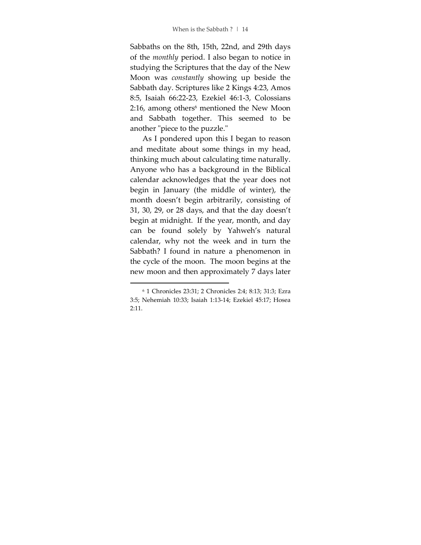Sabbaths on the 8th, 15th, 22nd, and 29th days of the *monthly* period. I also began to notice in studying the Scriptures that the day of the New Moon was *constantly* showing up beside the Sabbath day. Scriptures like 2 Kings 4:23, Amos 8:5, Isaiah 66:22-23, Ezekiel 46:1-3, Colossians 2:16, among others<sup>6</sup> mentioned the New Moon and Sabbath together. This seemed to be another "piece to the puzzle."

As I pondered upon this I began to reason and meditate about some things in my head, thinking much about calculating time naturally. Anyone who has a background in the Biblical calendar acknowledges that the year does not begin in January (the middle of winter), the month doesn't begin arbitrarily, consisting of 31, 30, 29, or 28 days, and that the day doesn't begin at midnight. If the year, month, and day can be found solely by Yahweh's natural calendar, why not the week and in turn the Sabbath? I found in nature a phenomenon in the cycle of the moon. The moon begins at the new moon and then approximately 7 days later

<sup>6</sup> 1 Chronicles 23:31; 2 Chronicles 2:4; 8:13; 31:3; Ezra 3:5; Nehemiah 10:33; Isaiah 1:13-14; Ezekiel 45:17; Hosea 2:11.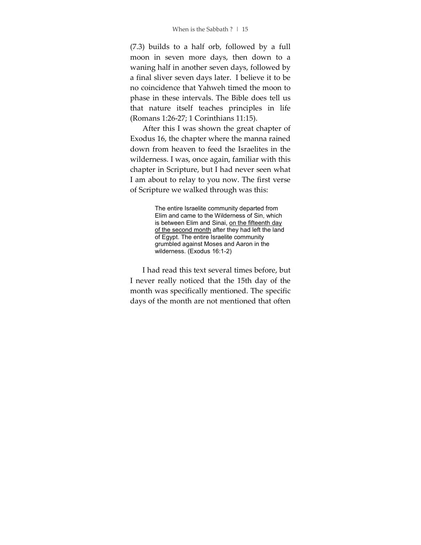(7.3) builds to a half orb, followed by a full moon in seven more days, then down to a waning half in another seven days, followed by a final sliver seven days later. I believe it to be no coincidence that Yahweh timed the moon to phase in these intervals. The Bible does tell us that nature itself teaches principles in life (Romans 1:26-27; 1 Corinthians 11:15).

After this I was shown the great chapter of Exodus 16, the chapter where the manna rained down from heaven to feed the Israelites in the wilderness. I was, once again, familiar with this chapter in Scripture, but I had never seen what I am about to relay to you now. The first verse of Scripture we walked through was this:

> The entire Israelite community departed from Elim and came to the Wilderness of Sin, which is between Elim and Sinai, on the fifteenth day of the second month after they had left the land of Egypt. The entire Israelite community grumbled against Moses and Aaron in the wilderness. (Exodus 16:1-2)

I had read this text several times before, but I never really noticed that the 15th day of the month was specifically mentioned. The specific days of the month are not mentioned that often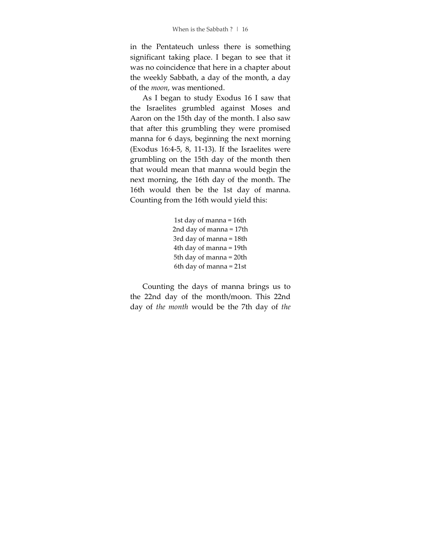in the Pentateuch unless there is something significant taking place. I began to see that it was no coincidence that here in a chapter about the weekly Sabbath, a day of the month, a day of the *moon*, was mentioned.

As I began to study Exodus 16 I saw that the Israelites grumbled against Moses and Aaron on the 15th day of the month. I also saw that after this grumbling they were promised manna for 6 days, beginning the next morning (Exodus 16:4-5, 8, 11-13). If the Israelites were grumbling on the 15th day of the month then that would mean that manna would begin the next morning, the 16th day of the month. The 16th would then be the 1st day of manna. Counting from the 16th would yield this:

```
1st day of manna = 16th 
2nd day of manna = 17th 
3rd day of manna = 18th 
4th day of manna = 19th 
5th day of manna = 20th 
6th day of manna = 21st
```
Counting the days of manna brings us to the 22nd day of the month/moon. This 22nd day of *the month* would be the 7th day of *the*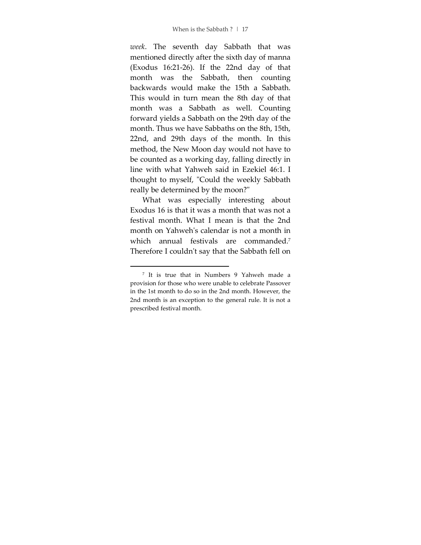*week*. The seventh day Sabbath that was mentioned directly after the sixth day of manna (Exodus 16:21-26). If the 22nd day of that month was the Sabbath, then counting backwards would make the 15th a Sabbath. This would in turn mean the 8th day of that month was a Sabbath as well. Counting forward yields a Sabbath on the 29th day of the month. Thus we have Sabbaths on the 8th, 15th, 22nd, and 29th days of the month. In this method, the New Moon day would not have to be counted as a working day, falling directly in line with what Yahweh said in Ezekiel 46:1. I thought to myself, "Could the weekly Sabbath really be determined by the moon?"

What was especially interesting about Exodus 16 is that it was a month that was not a festival month. What I mean is that the 2nd month on Yahweh's calendar is not a month in which annual festivals are commanded.<sup>7</sup> Therefore I couldn't say that the Sabbath fell on

<sup>7</sup> It is true that in Numbers 9 Yahweh made a provision for those who were unable to celebrate Passover in the 1st month to do so in the 2nd month. However, the 2nd month is an exception to the general rule. It is not a prescribed festival month.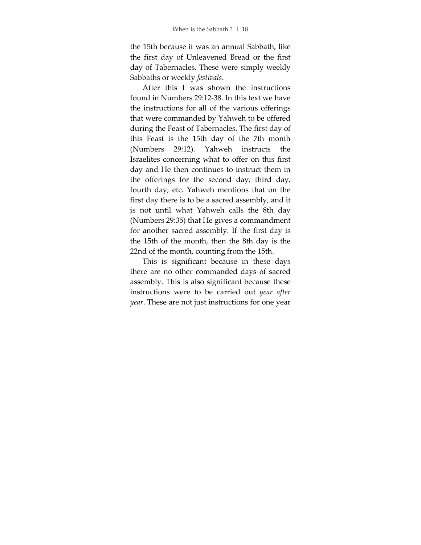the 15th because it was an annual Sabbath, like the first day of Unleavened Bread or the first day of Tabernacles. These were simply weekly Sabbaths or weekly *festivals*.

After this I was shown the instructions found in Numbers 29:12-38. In this text we have the instructions for all of the various offerings that were commanded by Yahweh to be offered during the Feast of Tabernacles. The first day of this Feast is the 15th day of the 7th month (Numbers 29:12). Yahweh instructs the Israelites concerning what to offer on this first day and He then continues to instruct them in the offerings for the second day, third day, fourth day, etc. Yahweh mentions that on the first day there is to be a sacred assembly, and it is not until what Yahweh calls the 8th day (Numbers 29:35) that He gives a commandment for another sacred assembly. If the first day is the 15th of the month, then the 8th day is the 22nd of the month, counting from the 15th.

This is significant because in these days there are no other commanded days of sacred assembly. This is also significant because these instructions were to be carried out *year after year*. These are not just instructions for one year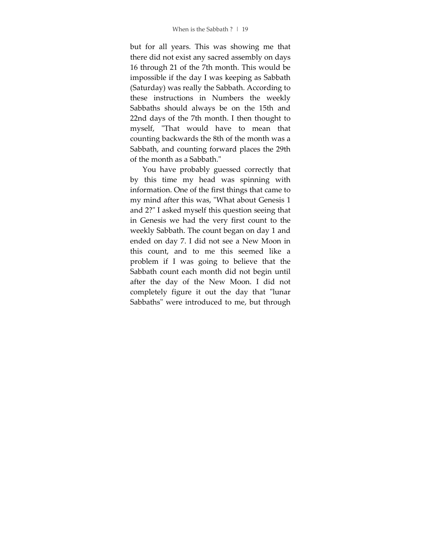but for all years. This was showing me that there did not exist any sacred assembly on days 16 through 21 of the 7th month. This would be impossible if the day I was keeping as Sabbath (Saturday) was really the Sabbath. According to these instructions in Numbers the weekly Sabbaths should always be on the 15th and 22nd days of the 7th month. I then thought to myself, "That would have to mean that counting backwards the 8th of the month was a Sabbath, and counting forward places the 29th of the month as a Sabbath."

You have probably guessed correctly that by this time my head was spinning with information. One of the first things that came to my mind after this was, "What about Genesis 1 and 2?" I asked myself this question seeing that in Genesis we had the very first count to the weekly Sabbath. The count began on day 1 and ended on day 7. I did not see a New Moon in this count, and to me this seemed like a problem if I was going to believe that the Sabbath count each month did not begin until after the day of the New Moon. I did not completely figure it out the day that "lunar Sabbaths" were introduced to me, but through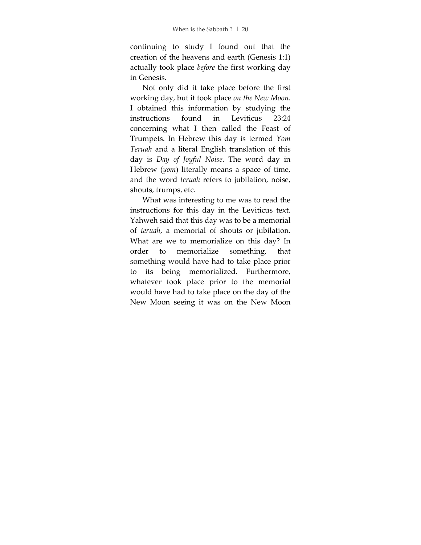continuing to study I found out that the creation of the heavens and earth (Genesis 1:1) actually took place *before* the first working day in Genesis.

Not only did it take place before the first working day, but it took place *on the New Moon*. I obtained this information by studying the instructions found in Leviticus 23:24 concerning what I then called the Feast of Trumpets. In Hebrew this day is termed *Yom Teruah* and a literal English translation of this day is *Day of Joyful Noise*. The word day in Hebrew (*yom*) literally means a space of time, and the word *teruah* refers to jubilation, noise, shouts, trumps, etc.

What was interesting to me was to read the instructions for this day in the Leviticus text. Yahweh said that this day was to be a memorial of *teruah*, a memorial of shouts or jubilation. What are we to memorialize on this day? In order to memorialize something, that something would have had to take place prior to its being memorialized. Furthermore, whatever took place prior to the memorial would have had to take place on the day of the New Moon seeing it was on the New Moon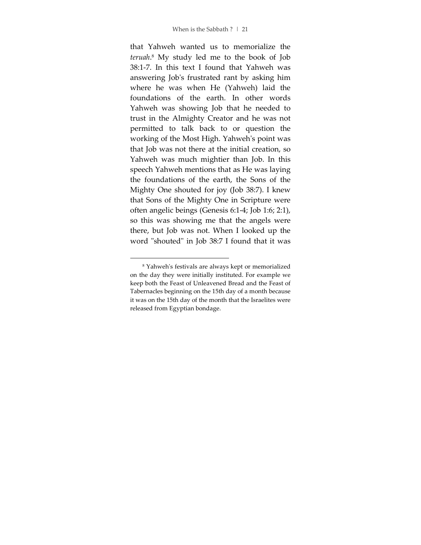that Yahweh wanted us to memorialize the *teruah*. 8 My study led me to the book of Job 38:1-7. In this text I found that Yahweh was answering Job's frustrated rant by asking him where he was when He (Yahweh) laid the foundations of the earth. In other words Yahweh was showing Job that he needed to trust in the Almighty Creator and he was not permitted to talk back to or question the working of the Most High. Yahweh's point was that Job was not there at the initial creation, so Yahweh was much mightier than Job. In this speech Yahweh mentions that as He was laying the foundations of the earth, the Sons of the Mighty One shouted for joy (Job 38:7). I knew that Sons of the Mighty One in Scripture were often angelic beings (Genesis 6:1-4; Job 1:6; 2:1), so this was showing me that the angels were there, but Job was not. When I looked up the word "shouted" in Job 38:7 I found that it was

<sup>8</sup> Yahweh's festivals are always kept or memorialized on the day they were initially instituted. For example we keep both the Feast of Unleavened Bread and the Feast of Tabernacles beginning on the 15th day of a month because it was on the 15th day of the month that the Israelites were released from Egyptian bondage.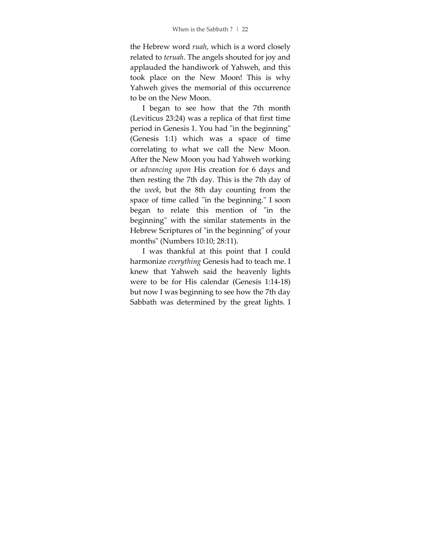the Hebrew word *ruah*, which is a word closely related to *teruah*. The angels shouted for joy and applauded the handiwork of Yahweh, and this took place on the New Moon! This is why Yahweh gives the memorial of this occurrence to be on the New Moon.

I began to see how that the 7th month (Leviticus 23:24) was a replica of that first time period in Genesis 1. You had "in the beginning" (Genesis 1:1) which was a space of time correlating to what we call the New Moon. After the New Moon you had Yahweh working or *advancing upon* His creation for 6 days and then resting the 7th day. This is the 7th day of the *week*, but the 8th day counting from the space of time called "in the beginning." I soon began to relate this mention of "in the beginning" with the similar statements in the Hebrew Scriptures of "in the beginning" of your months" (Numbers 10:10; 28:11).

I was thankful at this point that I could harmonize *everything* Genesis had to teach me. I knew that Yahweh said the heavenly lights were to be for His calendar (Genesis 1:14-18) but now I was beginning to see how the 7th day Sabbath was determined by the great lights. I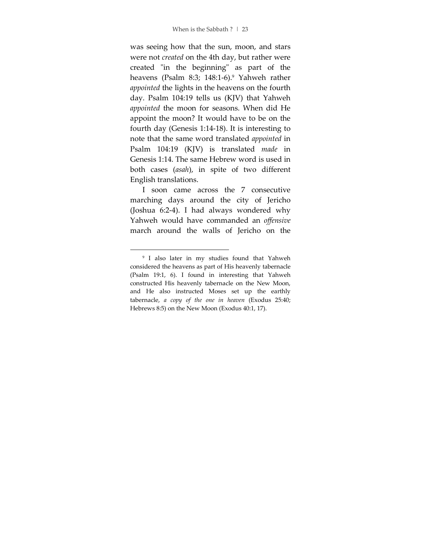was seeing how that the sun, moon, and stars were not *created* on the 4th day, but rather were created "in the beginning" as part of the heavens (Psalm 8:3; 148:1-6).<sup>9</sup> Yahweh rather *appointed* the lights in the heavens on the fourth day. Psalm 104:19 tells us (KJV) that Yahweh *appointed* the moon for seasons. When did He appoint the moon? It would have to be on the fourth day (Genesis 1:14-18). It is interesting to note that the same word translated *appointed* in Psalm 104:19 (KJV) is translated *made* in Genesis 1:14. The same Hebrew word is used in both cases (*asah*), in spite of two different English translations.

I soon came across the 7 consecutive marching days around the city of Jericho (Joshua 6:2-4). I had always wondered why Yahweh would have commanded an *offensive* march around the walls of Jericho on the

<sup>9</sup> I also later in my studies found that Yahweh considered the heavens as part of His heavenly tabernacle (Psalm 19:1, 6). I found in interesting that Yahweh constructed His heavenly tabernacle on the New Moon, and He also instructed Moses set up the earthly tabernacle, *a copy of the one in heaven* (Exodus 25:40; Hebrews 8:5) on the New Moon (Exodus 40:1, 17).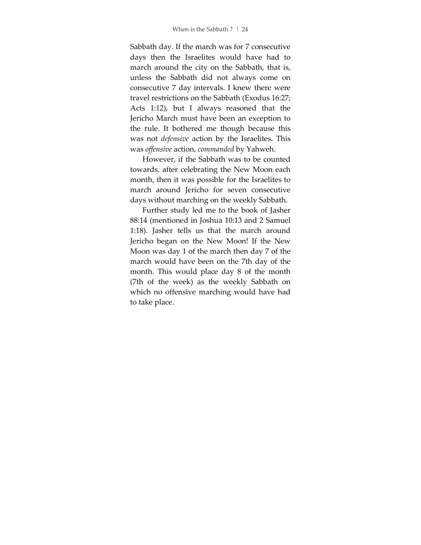Sabbath day. If the march was for 7 consecutive days then the Israelites would have had to march around the city on the Sabbath, that is, unless the Sabbath did not always come on consecutive 7 day intervals. I knew there were travel restrictions on the Sabbath (Exodus 16:27; Acts 1:12), but I always reasoned that the Jericho March must have been an exception to the rule. It bothered me though because this was not *defensive* action by the Israelites. This was *offensive* action, *commanded* by Yahweh.

However, if the Sabbath was to be counted towards, after celebrating the New Moon each month, then it was possible for the Israelites to march around Jericho for seven consecutive days without marching on the weekly Sabbath.

Further study led me to the book of Jasher 88:14 (mentioned in Joshua 10:13 and 2 Samuel 1:18). Jasher tells us that the march around Jericho began on the New Moon! If the New Moon was day 1 of the march then day 7 of the march would have been on the 7th day of the month. This would place day 8 of the month (7th of the week) as the weekly Sabbath on which no offensive marching would have had to take place.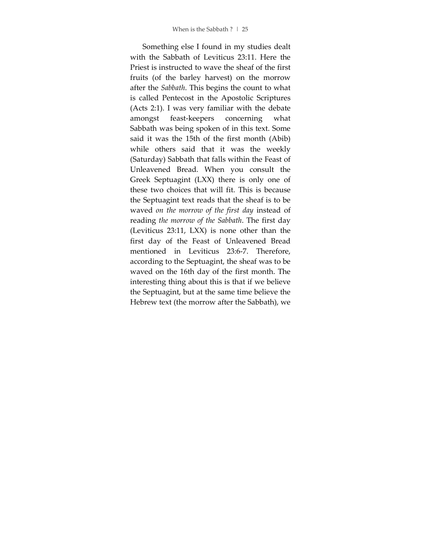Something else I found in my studies dealt with the Sabbath of Leviticus 23:11. Here the Priest is instructed to wave the sheaf of the first fruits (of the barley harvest) on the morrow after the *Sabbath*. This begins the count to what is called Pentecost in the Apostolic Scriptures (Acts 2:1). I was very familiar with the debate amongst feast-keepers concerning what Sabbath was being spoken of in this text. Some said it was the 15th of the first month (Abib) while others said that it was the weekly (Saturday) Sabbath that falls within the Feast of Unleavened Bread. When you consult the Greek Septuagint (LXX) there is only one of these two choices that will fit. This is because the Septuagint text reads that the sheaf is to be waved *on the morrow of the first day* instead of reading *the morrow of the Sabbath*. The first day (Leviticus 23:11, LXX) is none other than the first day of the Feast of Unleavened Bread mentioned in Leviticus 23:6-7. Therefore, according to the Septuagint, the sheaf was to be waved on the 16th day of the first month. The interesting thing about this is that if we believe the Septuagint, but at the same time believe the Hebrew text (the morrow after the Sabbath), we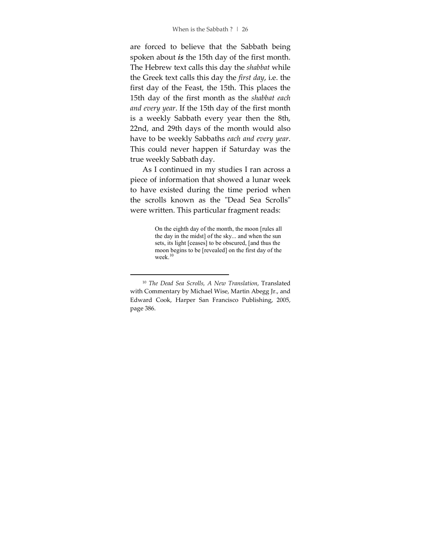are forced to believe that the Sabbath being spoken about *is* the 15th day of the first month. The Hebrew text calls this day the *shabbat* while the Greek text calls this day the *first day*, i.e. the first day of the Feast, the 15th. This places the 15th day of the first month as the *shabbat each and every year*. If the 15th day of the first month is a weekly Sabbath every year then the 8th, 22nd, and 29th days of the month would also have to be weekly Sabbaths *each and every year*. This could never happen if Saturday was the true weekly Sabbath day.

As I continued in my studies I ran across a piece of information that showed a lunar week to have existed during the time period when the scrolls known as the "Dead Sea Scrolls" were written. This particular fragment reads:

> On the eighth day of the month, the moon [rules all the day in the midst] of the sky... and when the sun sets, its light [ceases] to be obscured, [and thus the moon begins to be [revealed] on the first day of the week.<sup>10</sup>

<sup>10</sup> *The Dead Sea Scrolls, A New Translation*, Translated with Commentary by Michael Wise, Martin Abegg Jr., and Edward Cook, Harper San Francisco Publishing, 2005, page 386.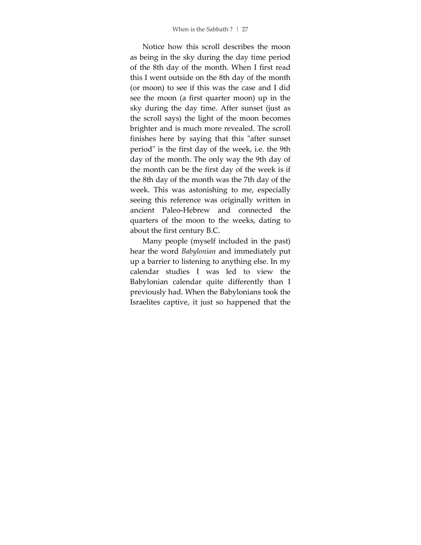Notice how this scroll describes the moon as being in the sky during the day time period of the 8th day of the month. When I first read this I went outside on the 8th day of the month (or moon) to see if this was the case and I did see the moon (a first quarter moon) up in the sky during the day time. After sunset (just as the scroll says) the light of the moon becomes brighter and is much more revealed. The scroll finishes here by saying that this "after sunset period" is the first day of the week, i.e. the 9th day of the month. The only way the 9th day of the month can be the first day of the week is if the 8th day of the month was the 7th day of the week. This was astonishing to me, especially seeing this reference was originally written in ancient Paleo-Hebrew and connected the quarters of the moon to the weeks, dating to about the first century B.C.

Many people (myself included in the past) hear the word *Babylonian* and immediately put up a barrier to listening to anything else. In my calendar studies I was led to view the Babylonian calendar quite differently than I previously had. When the Babylonians took the Israelites captive, it just so happened that the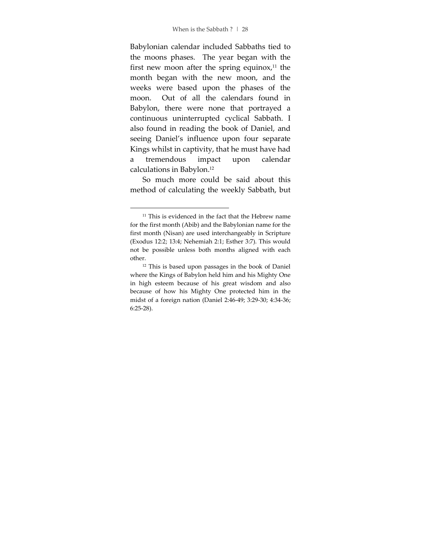Babylonian calendar included Sabbaths tied to the moons phases. The year began with the first new moon after the spring equinox, $11$  the month began with the new moon, and the weeks were based upon the phases of the moon. Out of all the calendars found in Babylon, there were none that portrayed a continuous uninterrupted cyclical Sabbath. I also found in reading the book of Daniel, and seeing Daniel's influence upon four separate Kings whilst in captivity, that he must have had a tremendous impact upon calendar calculations in Babylon.<sup>12</sup>

So much more could be said about this method of calculating the weekly Sabbath, but

<sup>&</sup>lt;sup>11</sup> This is evidenced in the fact that the Hebrew name for the first month (Abib) and the Babylonian name for the first month (Nisan) are used interchangeably in Scripture (Exodus 12:2; 13:4; Nehemiah 2:1; Esther 3:7). This would not be possible unless both months aligned with each other.

<sup>12</sup> This is based upon passages in the book of Daniel where the Kings of Babylon held him and his Mighty One in high esteem because of his great wisdom and also because of how his Mighty One protected him in the midst of a foreign nation (Daniel 2:46-49; 3:29-30; 4:34-36; 6:25-28).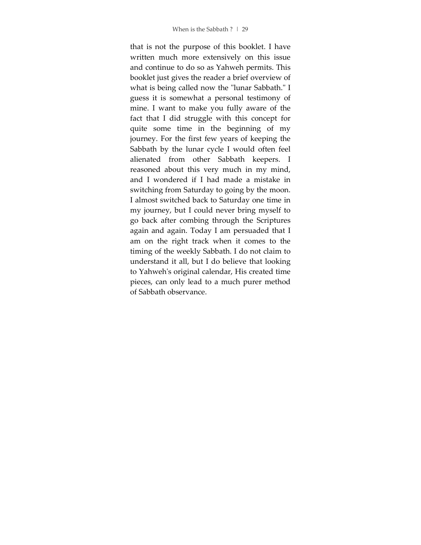that is not the purpose of this booklet. I have written much more extensively on this issue and continue to do so as Yahweh permits. This booklet just gives the reader a brief overview of what is being called now the "lunar Sabbath." I guess it is somewhat a personal testimony of mine. I want to make you fully aware of the fact that I did struggle with this concept for quite some time in the beginning of my journey. For the first few years of keeping the Sabbath by the lunar cycle I would often feel alienated from other Sabbath keepers. I reasoned about this very much in my mind, and I wondered if I had made a mistake in switching from Saturday to going by the moon. I almost switched back to Saturday one time in my journey, but I could never bring myself to go back after combing through the Scriptures again and again. Today I am persuaded that I am on the right track when it comes to the timing of the weekly Sabbath. I do not claim to understand it all, but I do believe that looking to Yahweh's original calendar, His created time pieces, can only lead to a much purer method of Sabbath observance.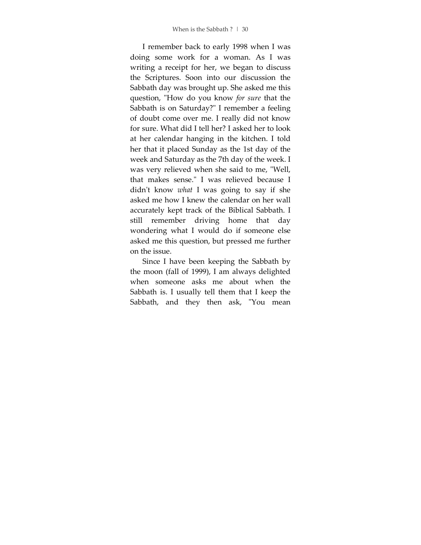I remember back to early 1998 when I was doing some work for a woman. As I was writing a receipt for her, we began to discuss the Scriptures. Soon into our discussion the Sabbath day was brought up. She asked me this question, "How do you know *for sure* that the Sabbath is on Saturday?" I remember a feeling of doubt come over me. I really did not know for sure. What did I tell her? I asked her to look at her calendar hanging in the kitchen. I told her that it placed Sunday as the 1st day of the week and Saturday as the 7th day of the week. I was very relieved when she said to me, "Well, that makes sense." I was relieved because I didn't know *what* I was going to say if she asked me how I knew the calendar on her wall accurately kept track of the Biblical Sabbath. I still remember driving home that day wondering what I would do if someone else asked me this question, but pressed me further on the issue.

Since I have been keeping the Sabbath by the moon (fall of 1999), I am always delighted when someone asks me about when the Sabbath is. I usually tell them that I keep the Sabbath, and they then ask, "You mean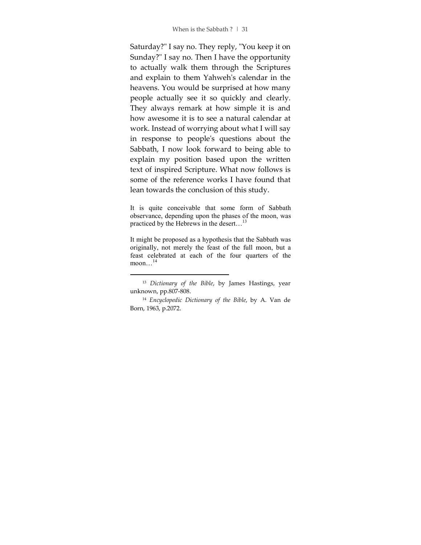Saturday?" I say no. They reply, "You keep it on Sunday?" I say no. Then I have the opportunity to actually walk them through the Scriptures and explain to them Yahweh's calendar in the heavens. You would be surprised at how many people actually see it so quickly and clearly. They always remark at how simple it is and how awesome it is to see a natural calendar at work. Instead of worrying about what I will say in response to people's questions about the Sabbath, I now look forward to being able to explain my position based upon the written text of inspired Scripture. What now follows is some of the reference works I have found that lean towards the conclusion of this study.

It is quite conceivable that some form of Sabbath observance, depending upon the phases of the moon, was practiced by the Hebrews in the desert...<sup>13</sup>

It might be proposed as a hypothesis that the Sabbath was originally, not merely the feast of the full moon, but a feast celebrated at each of the four quarters of the moon... $^{14}$ 

<sup>13</sup> *Dictionary of the Bible*, by James Hastings, year unknown, pp.807-808.

<sup>14</sup> *Encyclopedic Dictionary of the Bible*, by A. Van de Born, 1963, p.2072.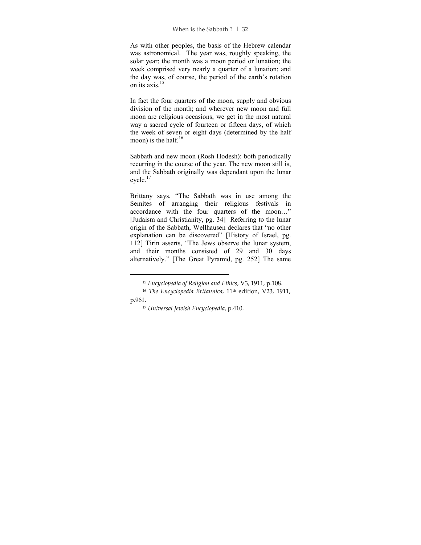As with other peoples, the basis of the Hebrew calendar was astronomical. The year was, roughly speaking, the solar year; the month was a moon period or lunation; the week comprised very nearly a quarter of a lunation; and the day was, of course, the period of the earth's rotation on its  $axis$ <sup>15</sup>

In fact the four quarters of the moon, supply and obvious division of the month; and wherever new moon and full moon are religious occasions, we get in the most natural way a sacred cycle of fourteen or fifteen days, of which the week of seven or eight days (determined by the half moon) is the half. $16$ 

Sabbath and new moon (Rosh Hodesh): both periodically recurring in the course of the year. The new moon still is, and the Sabbath originally was dependant upon the lunar cycle.<sup>17</sup>

Brittany says, "The Sabbath was in use among the Semites of arranging their religious festivals in accordance with the four quarters of the moon…" [Judaism and Christianity, pg. 34] Referring to the lunar origin of the Sabbath, Wellhausen declares that "no other explanation can be discovered" [History of Israel, pg. 112] Tirin asserts, "The Jews observe the lunar system, and their months consisted of 29 and 30 days alternatively." [The Great Pyramid, pg. 252] The same

<sup>15</sup> *Encyclopedia of Religion and Ethics*, V3, 1911, p.108.

<sup>&</sup>lt;sup>16</sup> The Encyclopedia Britannica, 11<sup>th</sup> edition, V23, 1911, p.961.

<sup>17</sup> *Universal Jewish Encyclopedia*, p.410.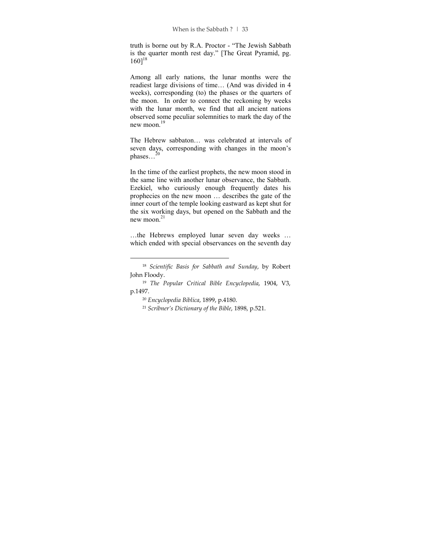truth is borne out by R.A. Proctor - "The Jewish Sabbath is the quarter month rest day." [The Great Pyramid, pg.  $160]^{18}$ 

Among all early nations, the lunar months were the readiest large divisions of time… (And was divided in 4 weeks), corresponding (to) the phases or the quarters of the moon. In order to connect the reckoning by weeks with the lunar month, we find that all ancient nations observed some peculiar solemnities to mark the day of the new moon.<sup>19</sup>

The Hebrew sabbaton… was celebrated at intervals of seven days, corresponding with changes in the moon's phases... $^{20}$ 

In the time of the earliest prophets, the new moon stood in the same line with another lunar observance, the Sabbath. Ezekiel, who curiously enough frequently dates his prophecies on the new moon … describes the gate of the inner court of the temple looking eastward as kept shut for the six working days, but opened on the Sabbath and the new moon.<sup>21</sup>

…the Hebrews employed lunar seven day weeks … which ended with special observances on the seventh day

<sup>18</sup> *Scientific Basis for Sabbath and Sunday*, by Robert John Floody.

<sup>19</sup> *The Popular Critical Bible Encyclopedia*, 1904, V3, p.1497.

<sup>20</sup> *Encyclopedia Biblica*, 1899, p.4180.

<sup>21</sup> *Scribner's Dictionary of the Bible*, 1898, p.521.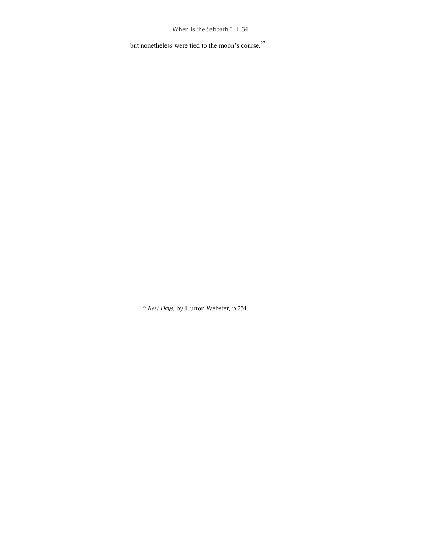but nonetheless were tied to the moon's course. $^{22}$ 

<sup>22</sup> *Rest Days*, by Hutton Webster, p.254.